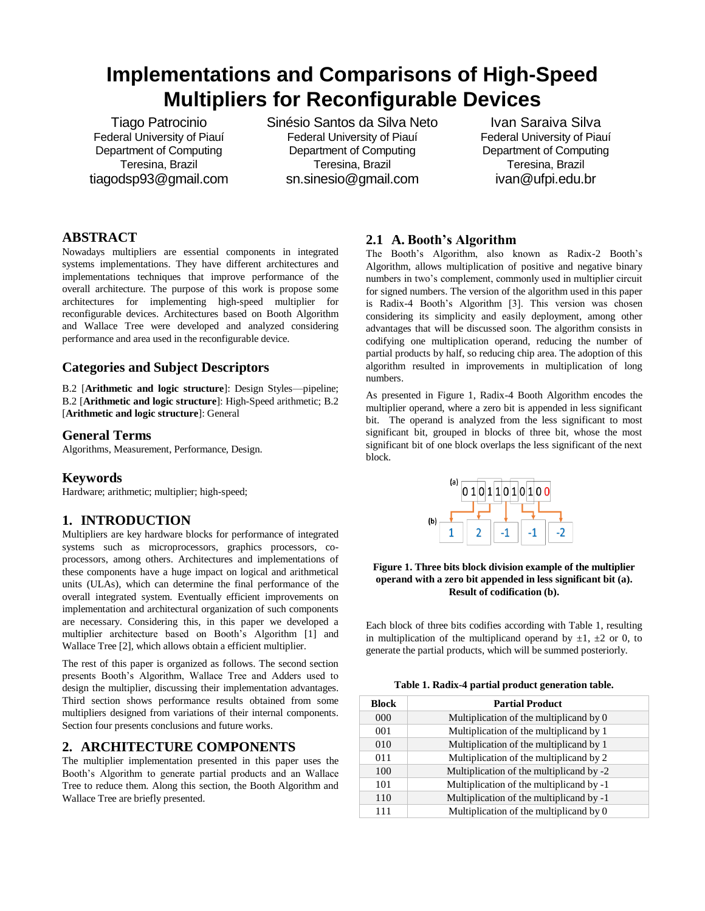# **Implementations and Comparisons of High-Speed Multipliers for Reconfigurable Devices**

Tiago Patrocinio Federal University of Piauí Department of Computing Teresina, Brazil tiagodsp93@gmail.com Sinésio Santos da Silva Neto Federal University of Piauí Department of Computing Teresina, Brazil sn.sinesio@gmail.com

Ivan Saraiva Silva Federal University of Piauí Department of Computing Teresina, Brazil ivan@ufpi.edu.br

## **ABSTRACT**

Nowadays multipliers are essential components in integrated systems implementations. They have different architectures and implementations techniques that improve performance of the overall architecture. The purpose of this work is propose some architectures for implementing high-speed multiplier for reconfigurable devices. Architectures based on Booth Algorithm and Wallace Tree were developed and analyzed considering performance and area used in the reconfigurable device.

## **Categories and Subject Descriptors**

B.2 [**Arithmetic and logic structure**]: Design Styles—pipeline; B.2 [**Arithmetic and logic structure**]: High-Speed arithmetic; B.2 [**Arithmetic and logic structure**]: General

## **General Terms**

Algorithms, Measurement, Performance, Design.

## **Keywords**

Hardware; arithmetic; multiplier; high-speed;

# **1. INTRODUCTION**

Multipliers are key hardware blocks for performance of integrated systems such as microprocessors, graphics processors, coprocessors, among others. Architectures and implementations of these components have a huge impact on logical and arithmetical units (ULAs), which can determine the final performance of the overall integrated system. Eventually efficient improvements on implementation and architectural organization of such components are necessary. Considering this, in this paper we developed a multiplier architecture based on Booth's Algorithm [1] and Wallace Tree [2], which allows obtain a efficient multiplier.

The rest of this paper is organized as follows. The second section presents Booth's Algorithm, Wallace Tree and Adders used to design the multiplier, discussing their implementation advantages. Third section shows performance results obtained from some multipliers designed from variations of their internal components. Section four presents conclusions and future works.

## **2. ARCHITECTURE COMPONENTS**

The multiplier implementation presented in this paper uses the Booth's Algorithm to generate partial products and an Wallace Tree to reduce them. Along this section, the Booth Algorithm and Wallace Tree are briefly presented.

# **2.1 A. Booth's Algorithm**

The Booth's Algorithm, also known as Radix-2 Booth's Algorithm, allows multiplication of positive and negative binary numbers in two's complement, commonly used in multiplier circuit for signed numbers. The version of the algorithm used in this paper is Radix-4 Booth's Algorithm [3]. This version was chosen considering its simplicity and easily deployment, among other advantages that will be discussed soon. The algorithm consists in codifying one multiplication operand, reducing the number of partial products by half, so reducing chip area. The adoption of this algorithm resulted in improvements in multiplication of long numbers.

As presented in Figure 1, Radix-4 Booth Algorithm encodes the multiplier operand, where a zero bit is appended in less significant bit. The operand is analyzed from the less significant to most significant bit, grouped in blocks of three bit, whose the most significant bit of one block overlaps the less significant of the next block.



#### **Figure 1. Three bits block division example of the multiplier operand with a zero bit appended in less significant bit (a). Result of codification (b).**

Each block of three bits codifies according with Table 1, resulting in multiplication of the multiplicand operand by  $\pm 1$ ,  $\pm 2$  or 0, to generate the partial products, which will be summed posteriorly.

**Table 1. Radix-4 partial product generation table.**

| <b>Block</b> | <b>Partial Product</b>                   |
|--------------|------------------------------------------|
| 000          | Multiplication of the multiplicand by 0  |
| 001          | Multiplication of the multiplicand by 1  |
| 010          | Multiplication of the multiplicand by 1  |
| 011          | Multiplication of the multiplicand by 2  |
| 100          | Multiplication of the multiplicand by -2 |
| 101          | Multiplication of the multiplicand by -1 |
| 110          | Multiplication of the multiplicand by -1 |
| 111          | Multiplication of the multiplicand by 0  |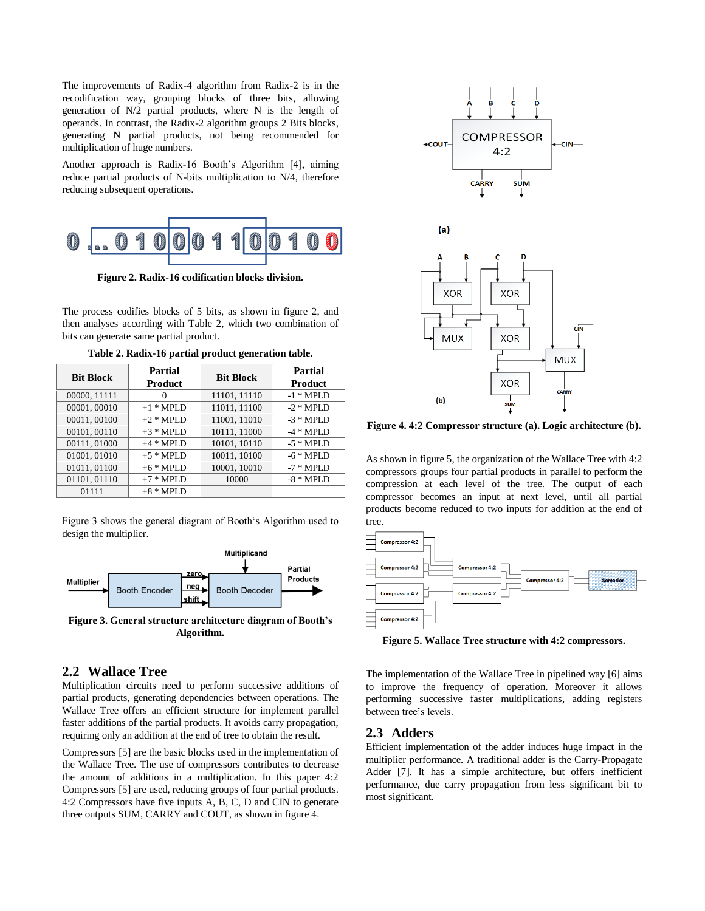The improvements of Radix-4 algorithm from Radix-2 is in the recodification way, grouping blocks of three bits, allowing generation of N/2 partial products, where N is the length of operands. In contrast, the Radix-2 algorithm groups 2 Bits blocks, generating N partial products, not being recommended for multiplication of huge numbers.

Another approach is Radix-16 Booth's Algorithm [4], aiming reduce partial products of N-bits multiplication to N/4, therefore reducing subsequent operations.



**Figure 2. Radix-16 codification blocks division.**

The process codifies blocks of 5 bits, as shown in figure 2, and then analyses according with Table 2, which two combination of bits can generate same partial product.

| <b>Bit Block</b> | Partial<br><b>Product</b> | <b>Bit Block</b> | Partial<br>Product |
|------------------|---------------------------|------------------|--------------------|
| 00000, 11111     | 0                         | 11101, 11110     | $-1$ * MPLD        |
| 00001,00010      | $+1$ * MPLD               | 11011, 11100     | $-2$ * MPLD        |
| 00011,00100      | $+2$ * MPLD               | 11001, 11010     | $-3$ * MPLD        |
| 00101, 00110     | $+3$ * MPLD               | 10111, 11000     | $-4$ * MPLD        |
| 00111, 01000     | $+4$ * MPLD               | 10101, 10110     | $-5$ * MPLD        |
| 01001, 01010     | $+5$ * MPLD               | 10011, 10100     | $-6$ * MPLD        |
| 01011, 01100     | $+6$ * MPLD               | 10001, 10010     | $-7$ * MPLD        |
| 01101, 01110     | $+7$ * MPLD               | 10000            | $-8$ * MPLD        |
| 01111            | $+8$ * MPLD               |                  |                    |

**Table 2. Radix-16 partial product generation table.**

Figure 3 shows the general diagram of Booth's Algorithm used to design the multiplier.



**Figure 3. General structure architecture diagram of Booth's Algorithm.**

## **2.2 Wallace Tree**

Multiplication circuits need to perform successive additions of partial products, generating dependencies between operations. The Wallace Tree offers an efficient structure for implement parallel faster additions of the partial products. It avoids carry propagation, requiring only an addition at the end of tree to obtain the result.

Compressors [5] are the basic blocks used in the implementation of the Wallace Tree. The use of compressors contributes to decrease the amount of additions in a multiplication. In this paper 4:2 Compressors [5] are used, reducing groups of four partial products. 4:2 Compressors have five inputs A, B, C, D and CIN to generate three outputs SUM, CARRY and COUT, as shown in figure 4.



**Figure 4. 4:2 Compressor structure (a). Logic architecture (b).**

As shown in figure 5, the organization of the Wallace Tree with 4:2 compressors groups four partial products in parallel to perform the compression at each level of the tree. The output of each compressor becomes an input at next level, until all partial products become reduced to two inputs for addition at the end of tree.



**Figure 5. Wallace Tree structure with 4:2 compressors.**

The implementation of the Wallace Tree in pipelined way [6] aims to improve the frequency of operation. Moreover it allows performing successive faster multiplications, adding registers between tree's levels.

## **2.3 Adders**

Efficient implementation of the adder induces huge impact in the multiplier performance. A traditional adder is the Carry-Propagate Adder [7]. It has a simple architecture, but offers inefficient performance, due carry propagation from less significant bit to most significant.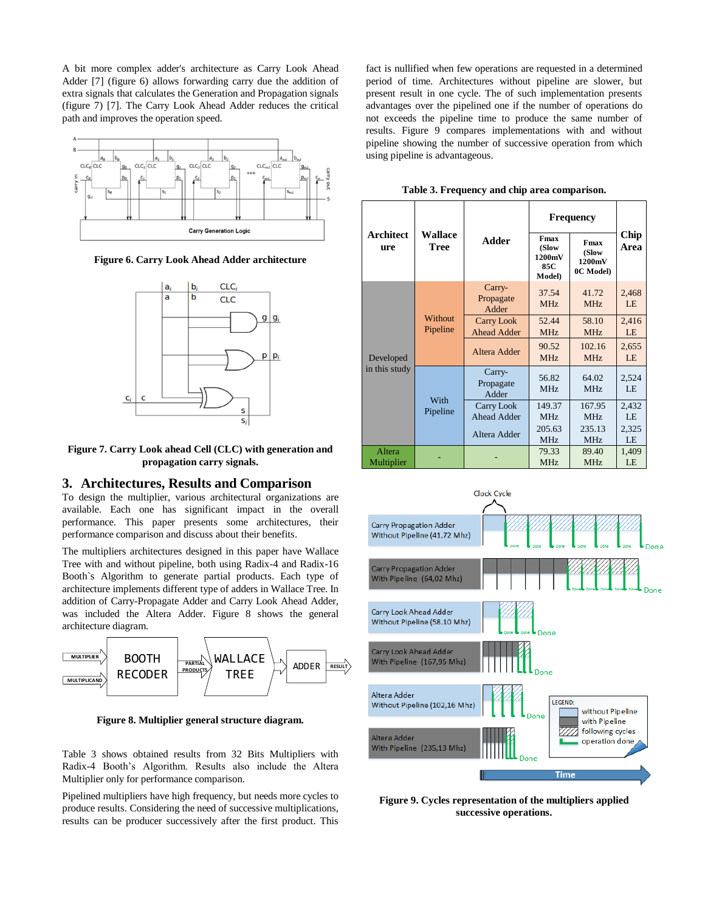A bit more complex adder's architecture as Carry Look Ahead Adder [7] (figure 6) allows forwarding carry due the addition of extra signals that calculates the Generation and Propagation signals (figure 7) [7]. The Carry Look Ahead Adder reduces the critical path and improves the operation speed.



**Figure 6. Carry Look Ahead Adder architecture**



**Figure 7. Carry Look ahead Cell (CLC) with generation and propagation carry signals.**

#### **3. Architectures, Results and Comparison**

To design the multiplier, various architectural organizations are available. Each one has significant impact in the overall performance. This paper presents some architectures, their performance comparison and discuss about their benefits.

The multipliers architectures designed in this paper have Wallace Tree with and without pipeline, both using Radix-4 and Radix-16 Booth`s Algorithm to generate partial products. Each type of architecture implements different type of adders in Wallace Tree. In addition of Carry-Propagate Adder and Carry Look Ahead Adder, was included the Altera Adder. Figure 8 shows the general architecture diagram.



**Figure 8. Multiplier general structure diagram.**

Table 3 shows obtained results from 32 Bits Multipliers with Radix-4 Booth's Algorithm. Results also include the Altera Multiplier only for performance comparison.

Pipelined multipliers have high frequency, but needs more cycles to produce results. Considering the need of successive multiplications, results can be producer successively after the first product. This

fact is nullified when few operations are requested in a determined period of time. Architectures without pipeline are slower, but present result in one cycle. The of such implementation presents advantages over the pipelined one if the number of operations do not exceeds the pipeline time to produce the same number of results. Figure 9 compares implementations with and without pipeline showing the number of successive operation from which using pipeline is advantageous.

| Table 3. Frequency and chip area comparison. |  |  |  |  |
|----------------------------------------------|--|--|--|--|
|----------------------------------------------|--|--|--|--|

|                            |                        |                                  | <b>Frequency</b>                                 |                                      |              |
|----------------------------|------------------------|----------------------------------|--------------------------------------------------|--------------------------------------|--------------|
| <b>Architect</b><br>ure    | Wallace<br><b>Tree</b> | Adder                            | Fmax<br>(Slow<br>1200mV<br>85C<br><b>Model</b> ) | Fmax<br>(Slow<br>1200mV<br>0C Model) | Chip<br>Area |
|                            | Without<br>Pipeline    | Carry-<br>Propagate<br>Adder     | 37.54<br>MHz                                     | 41.72<br>MH <sub>z</sub>             | 2,468<br>LE  |
| Developed<br>in this study |                        | Carry Look<br><b>Ahead Adder</b> | 52.44<br>MHz                                     | 58.10<br>MHz                         | 2,416<br>LE  |
|                            |                        | Altera Adder                     | 90.52<br>MH <sub>z</sub>                         | 102.16<br>MH <sub>z</sub>            | 2,655<br>LE  |
|                            | With<br>Pipeline       | Carry-<br>Propagate<br>Adder     | 56.82<br>MH <sub>z</sub>                         | 64.02<br>MH <sub>z</sub>             | 2,524<br>LE  |
|                            |                        | Carry Look<br><b>Ahead Adder</b> | 149.37<br>MH <sub>z</sub>                        | 167.95<br>MH <sub>z</sub>            | 2,432<br>LE  |
|                            |                        | Altera Adder                     | 205.63<br>MH <sub>z</sub>                        | 235.13<br>MH <sub>z</sub>            | 2,325<br>LE  |
| Altera<br>Multiplier       |                        |                                  | 79.33<br>MH <sub>z</sub>                         | 89.40<br>MH <sub>z</sub>             | 1,409<br>LE  |



**Figure 9. Cycles representation of the multipliers applied successive operations.**